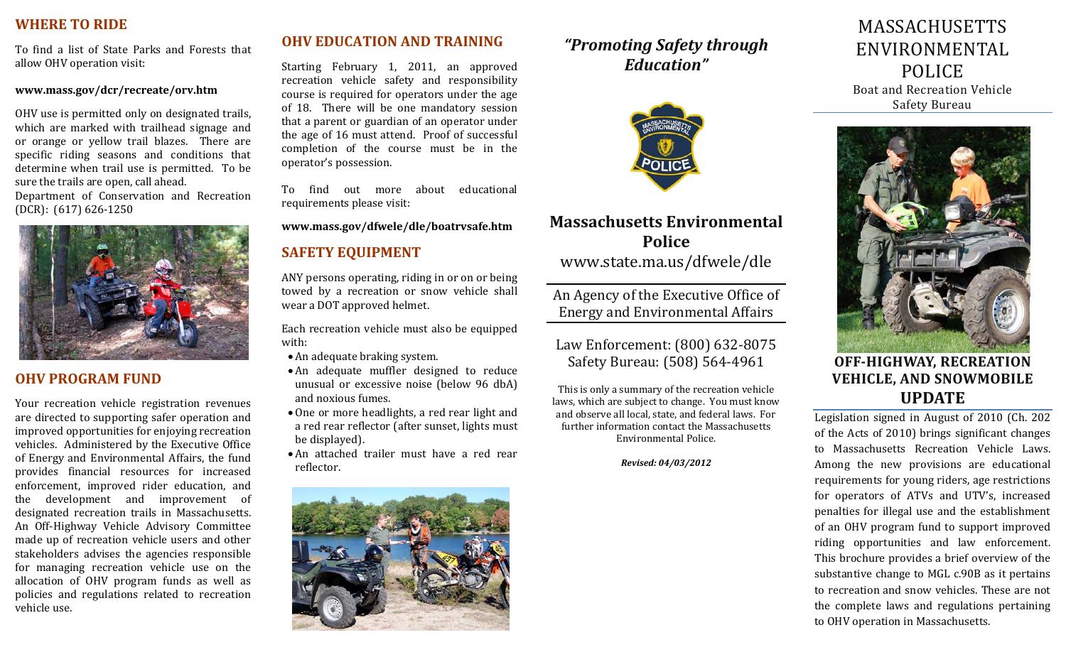## **WHERE TO RIDE**

To find <sup>a</sup> list of State Parks and Forests that allow OHV operation visit:

#### **www.mass.gov/dcr/recreate/orv.htm**

OHV use is permitted only on designated trails, which are marked with trailhead signage and or orange or yellow trail blazes. There are specific riding seasons and conditions that determine when trail use is permitted. To be sure the trails are open, call ahead. Department of Conservation and Recreation (DCR): (617) 626‐1250



## **OHV PROGRAM FUND**

Your recreation vehicle registration revenues are directed to supporting safer operation and improved opportunities for enjoying recreation vehicles. Administered by the Executive Office of Energy and Environmental Affairs, the fund provides financial resources for increased enforcement, improved rider education, and the development and improvement of designated recreation trails in Massachusetts. An Off‐Highway Vehicle Advisory Committee made up of recreation vehicle users and other stakeholders advises the agencies responsible for managing recreation vehicle use on the allocation of OHV program funds as well as policies and regulations related to recreation vehicle use.

## **OHV EDUCATION AND TRAINING**

Starting February 1, 2011, an approved recreation vehicle safety and responsibility course is required for operators under the age of 18. There will be one mandatory session that a parent or guardian of an operator under the age of 16 must attend. Proof of successful completion of the course must be in the operator's possession.

To find out more about educational requirements please visit:

**www.mass.gov/dfwele/dle/boatrvsafe.htm**

## **SAFETY EQUIPMENT**

ANY persons operating, riding in or on or being towed by <sup>a</sup> recreation or snow vehicle shall wear a DOT approved helmet.

Each recreation vehicle must also be equipped with:

- An adequate braking system.
- An adequate muffler designed to reduce unusual or excessive noise (below 96 dbA) and noxious fumes.
- One or more headlights, a red rear light and a red rear reflector (after sunset, lights must be displayed).
- An attached trailer must have <sup>a</sup> red rear reflector.



# *"Promoting Safety through Education"*



# **Massachusetts Environmental Police**www.state.ma.us/dfwele/dle

An Agency of the Executive Office of Energy and Environmental Affairs

Law Enforcement: (800) 632‐8075 Safety Bureau: (508) 564‐4961

This is only a summary of the recreation vehicle laws, which are subject to change. You must know and observe all local, state, and federal laws. For further information contact the Massachusetts Environmental Police.

*Revised: 04/03/2012*

# MASSACHUSETTS ENVIRONMENTAL POLICE Boat and Recreation Vehicle Safety Bureau



**OFFHIGHWAY, RECREATION VEHICLE, AND SNOWMOBILE UPDATE**

Legislation signed in August of 2010 (Ch. 202 of the Acts of 2010) brings significant changes to Massachusetts Recreation Vehicle Laws. Among the new provisions are educational requirements for young riders, age restrictions for operators of ATVs and UTV's, increased penalties for illegal use and the establishment of an OHV program fund to support improved riding opportunities and law enforcement. This brochure provides a brief overview of the substantive change to MGL c.90B as it pertains to recreation and snow vehicles. These are not the complete laws and regulations pertaining to OHV operation in Massachusetts.